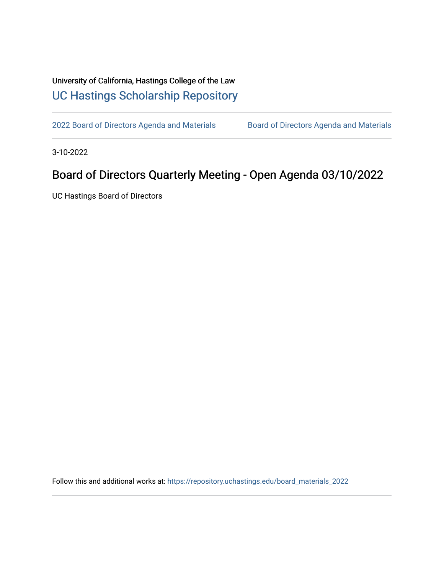## University of California, Hastings College of the Law [UC Hastings Scholarship Repository](https://repository.uchastings.edu/)

[2022 Board of Directors Agenda and Materials](https://repository.uchastings.edu/board_materials_2022) Board of Directors Agenda and Materials

3-10-2022

# Board of Directors Quarterly Meeting - Open Agenda 03/10/2022

UC Hastings Board of Directors

Follow this and additional works at: [https://repository.uchastings.edu/board\\_materials\\_2022](https://repository.uchastings.edu/board_materials_2022?utm_source=repository.uchastings.edu%2Fboard_materials_2022%2F19&utm_medium=PDF&utm_campaign=PDFCoverPages)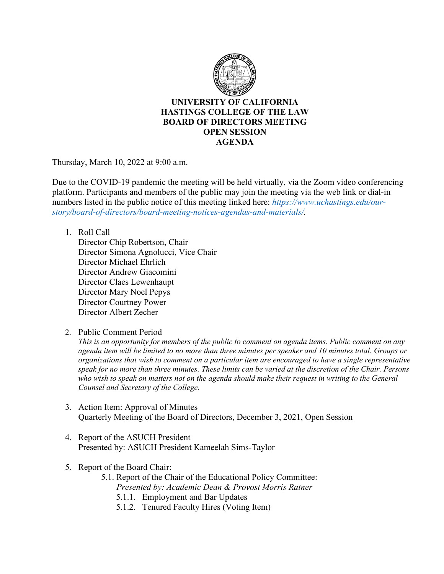

#### **UNIVERSITY OF CALIFORNIA HASTINGS COLLEGE OF THE LAW BOARD OF DIRECTORS MEETING OPEN SESSION AGENDA**

Thursday, March 10, 2022 at 9:00 a.m.

Due to the COVID-19 pandemic the meeting will be held virtually, via the Zoom video conferencing platform. Participants and members of the public may join the meeting via the web link or dial-in numbers listed in the public notice of this meeting linked here: *[https://www.uchastings.edu/our](https://www.uchastings.edu/our-story/board-of-directors/board-meeting-notices-agendas-and-materials/)[story/board-of-directors/board-meeting-notices-agendas-and-materials/.](https://www.uchastings.edu/our-story/board-of-directors/board-meeting-notices-agendas-and-materials/)* 

1. Roll Call

Director Chip Robertson, Chair Director Simona Agnolucci, Vice Chair Director Michael Ehrlich Director Andrew Giacomini Director Claes Lewenhaupt Director Mary Noel Pepys Director Courtney Power Director Albert Zecher

2. Public Comment Period

*This is an opportunity for members of the public to comment on agenda items. Public comment on any agenda item will be limited to no more than three minutes per speaker and 10 minutes total. Groups or organizations that wish to comment on a particular item are encouraged to have a single representative speak for no more than three minutes. These limits can be varied at the discretion of the Chair. Persons*  who wish to speak on matters not on the agenda should make their request in writing to the General *Counsel and Secretary of the College.*

- 3. Action Item: Approval of Minutes Quarterly Meeting of the Board of Directors, December 3, 2021, Open Session
- 4. Report of the ASUCH President Presented by: ASUCH President Kameelah Sims-Taylor
- 5. Report of the Board Chair:
	- 5.1. Report of the Chair of the Educational Policy Committee: *Presented by: Academic Dean & Provost Morris Ratner*
		- 5.1.1. Employment and Bar Updates
		- 5.1.2. Tenured Faculty Hires (Voting Item)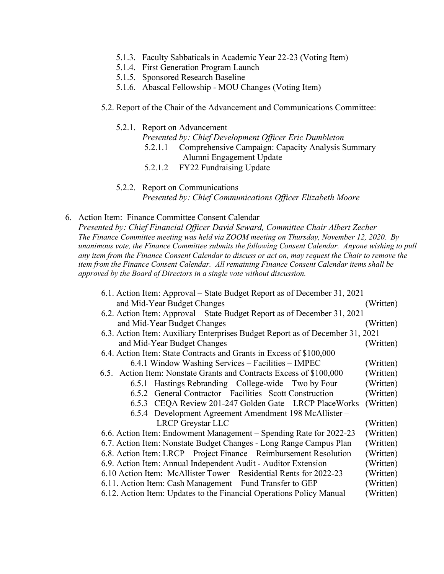- 5.1.3. Faculty Sabbaticals in Academic Year 22-23 (Voting Item)
- 5.1.4. First Generation Program Launch
- 5.1.5. Sponsored Research Baseline
- 5.1.6. Abascal Fellowship MOU Changes (Voting Item)
- 5.2. Report of the Chair of the Advancement and Communications Committee:

#### 5.2.1. Report on Advancement

*Presented by: Chief Development Officer Eric Dumbleton*

- 5.2.1.1 Comprehensive Campaign: Capacity Analysis Summary Alumni Engagement Update
- 5.2.1.2 FY22 Fundraising Update
- 5.2.2. Report on Communications *Presented by: Chief Communications Officer Elizabeth Moore*
- 6. Action Item: Finance Committee Consent Calendar

*Presented by: Chief Financial Officer David Seward, Committee Chair Albert Zecher The Finance Committee meeting was held via ZOOM meeting on Thursday, November 12, 2020. By unanimous vote, the Finance Committee submits the following Consent Calendar. Anyone wishing to pull any item from the Finance Consent Calendar to discuss or act on, may request the Chair to remove the item from the Finance Consent Calendar. All remaining Finance Consent Calendar items shall be approved by the Board of Directors in a single vote without discussion.*

| 6.1. Action Item: Approval – State Budget Report as of December 31, 2021      |           |
|-------------------------------------------------------------------------------|-----------|
| and Mid-Year Budget Changes                                                   | (Written) |
| 6.2. Action Item: Approval – State Budget Report as of December 31, 2021      |           |
| and Mid-Year Budget Changes                                                   | (Written) |
| 6.3. Action Item: Auxiliary Enterprises Budget Report as of December 31, 2021 |           |
| and Mid-Year Budget Changes                                                   | (Written) |
| 6.4. Action Item: State Contracts and Grants in Excess of \$100,000           |           |
| 6.4.1 Window Washing Services – Facilities – IMPEC                            | (Written) |
| 6.5. Action Item: Nonstate Grants and Contracts Excess of \$100,000           | (Written) |
| 6.5.1 Hastings Rebranding – College-wide – Two by Four                        | (Written) |
| 6.5.2 General Contractor – Facilities – Scott Construction                    | (Written) |
| CEQA Review 201-247 Golden Gate – LRCP PlaceWorks<br>6.5.3                    | (Written) |
| 6.5.4 Development Agreement Amendment 198 McAllister –                        |           |
| <b>LRCP</b> Greystar LLC                                                      | (Written) |
| 6.6. Action Item: Endowment Management - Spending Rate for 2022-23            | (Written) |
| 6.7. Action Item: Nonstate Budget Changes - Long Range Campus Plan            | (Written) |
| 6.8. Action Item: LRCP – Project Finance – Reimbursement Resolution           | (Written) |
| 6.9. Action Item: Annual Independent Audit - Auditor Extension                | (Written) |
| 6.10 Action Item: McAllister Tower – Residential Rents for 2022-23            | (Written) |
| 6.11. Action Item: Cash Management - Fund Transfer to GEP                     | (Written) |
| 6.12. Action Item: Updates to the Financial Operations Policy Manual          | (Written) |